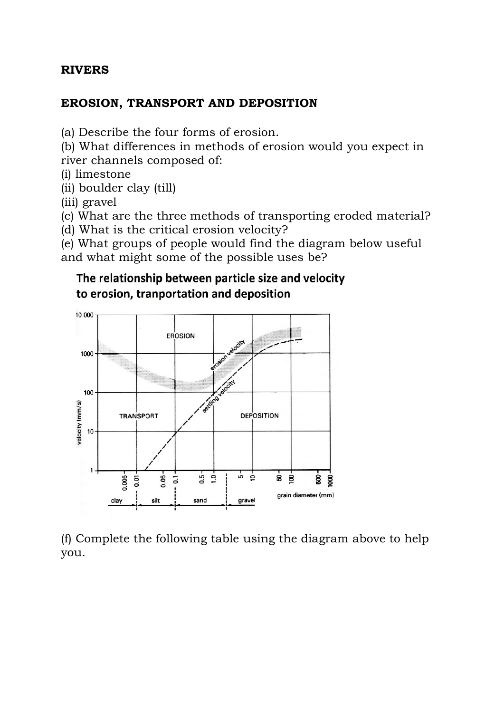#### **RIVERS**

#### **EROSION, TRANSPORT AND DEPOSITION**

(a) Describe the four forms of erosion.

(b) What differences in methods of erosion would you expect in river channels composed of:

(i) limestone

(ii) boulder clay (till)

(iii) gravel

(c) What are the three methods of transporting eroded material?

(d) What is the critical erosion velocity?

(e) What groups of people would find the diagram below useful and what might some of the possible uses be?

# The relationship between particle size and velocity to erosion, tranportation and deposition



(f) Complete the following table using the diagram above to help you.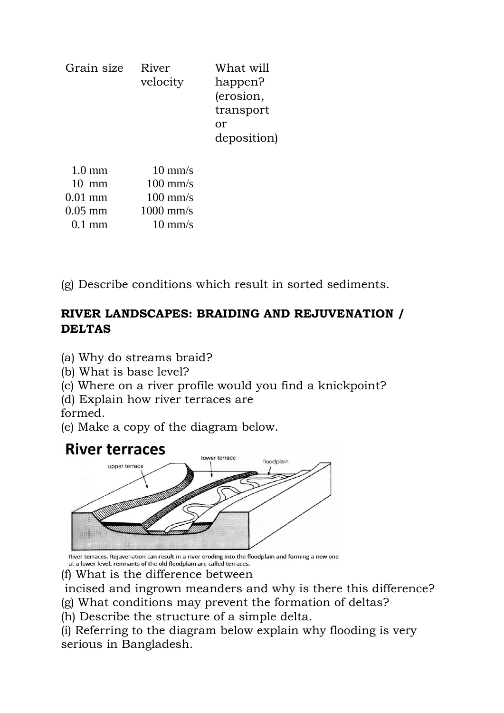| Grain size | River<br>velocity | What will<br>happen?<br>(erosion,<br>transport<br>or<br>deposition) |
|------------|-------------------|---------------------------------------------------------------------|
|            | $10 \text{ mm/s}$ |                                                                     |

| $10 \text{ mm}$  | $100 \text{ mm/s}$ |
|------------------|--------------------|
| $0.01$ mm        | $100 \text{ mm/s}$ |
| $0.05$ mm        | $1000$ mm/s        |
| $0.1 \text{ mm}$ | $10 \text{ mm/s}$  |

(g) Describe conditions which result in sorted sediments.

# **RIVER LANDSCAPES: BRAIDING AND REJUVENATION / DELTAS**

- (a) Why do streams braid?
- (b) What is base level?
- (c) Where on a river profile would you find a knickpoint?
- (d) Explain how river terraces are

formed.

(e) Make a copy of the diagram below.

# **River terraces**



River terraces. Rejuvenation can result in a river eroding into the floodplain and forming a new one at a lower level, remnants of the old floodplain are called terraces.

- (f) What is the difference between
- incised and ingrown meanders and why is there this difference?
- (g) What conditions may prevent the formation of deltas?
- (h) Describe the structure of a simple delta.

(i) Referring to the diagram below explain why flooding is very serious in Bangladesh.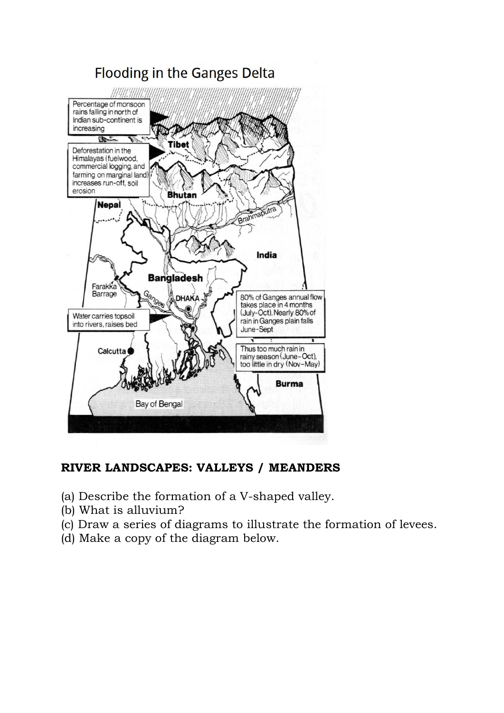

#### **RIVER LANDSCAPES: VALLEYS / MEANDERS**

- (a) Describe the formation of a V-shaped valley.
- (b) What is alluvium?
- (c) Draw a series of diagrams to illustrate the formation of levees.
- (d) Make a copy of the diagram below.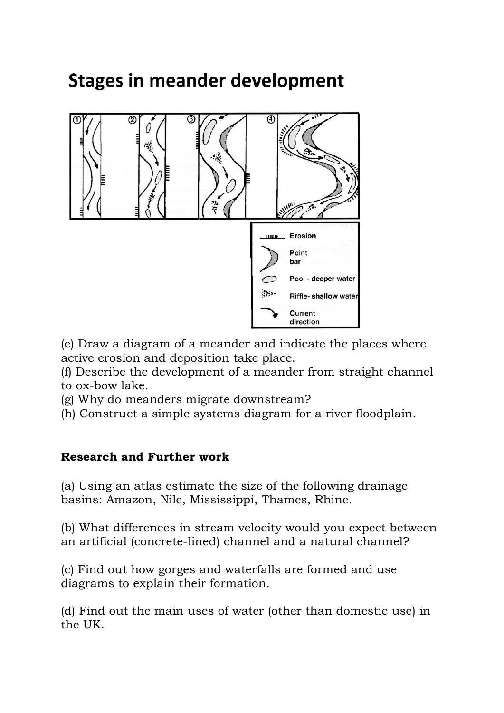# **Stages in meander development**



(e) Draw a diagram of a meander and indicate the places where active erosion and deposition take place.

(f) Describe the development of a meander from straight channel to ox-bow lake.

(g) Why do meanders migrate downstream?

(h) Construct a simple systems diagram for a river floodplain.

# **Research and Further work**

(a) Using an atlas estimate the size of the following drainage basins: Amazon, Nile, Mississippi, Thames, Rhine.

(b) What differences in stream velocity would you expect between an artificial (concrete-lined) channel and a natural channel?

(c) Find out how gorges and waterfalls are formed and use diagrams to explain their formation.

(d) Find out the main uses of water (other than domestic use) in the UK.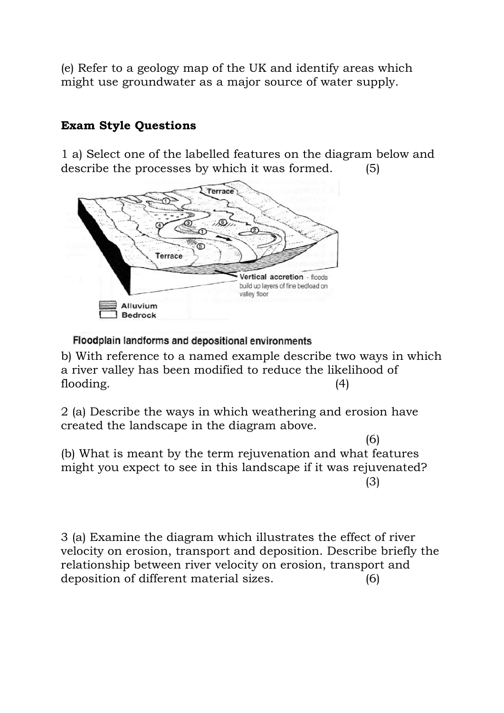(e) Refer to a geology map of the UK and identify areas which might use groundwater as a major source of water supply.

# **Exam Style Questions**

1 a) Select one of the labelled features on the diagram below and describe the processes by which it was formed. (5)



Floodplain landforms and depositional environments

b) With reference to a named example describe two ways in which a river valley has been modified to reduce the likelihood of flooding.  $(4)$ 

2 (a) Describe the ways in which weathering and erosion have created the landscape in the diagram above.

(6) (b) What is meant by the term rejuvenation and what features might you expect to see in this landscape if it was rejuvenated? (3)

3 (a) Examine the diagram which illustrates the effect of river velocity on erosion, transport and deposition. Describe briefly the relationship between river velocity on erosion, transport and deposition of different material sizes. (6)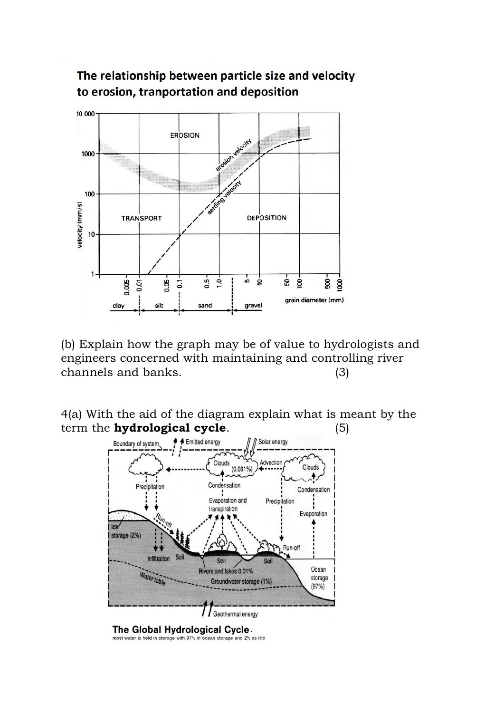

The relationship between particle size and velocity to erosion, tranportation and deposition

(b) Explain how the graph may be of value to hydrologists and engineers concerned with maintaining and controlling river channels and banks. (3)

4(a) With the aid of the diagram explain what is meant by the term the **hydrological cycle**. (5)



The Global Hydrological Cycle. most water is held in storage with 97% in ocean storage and 2% as ice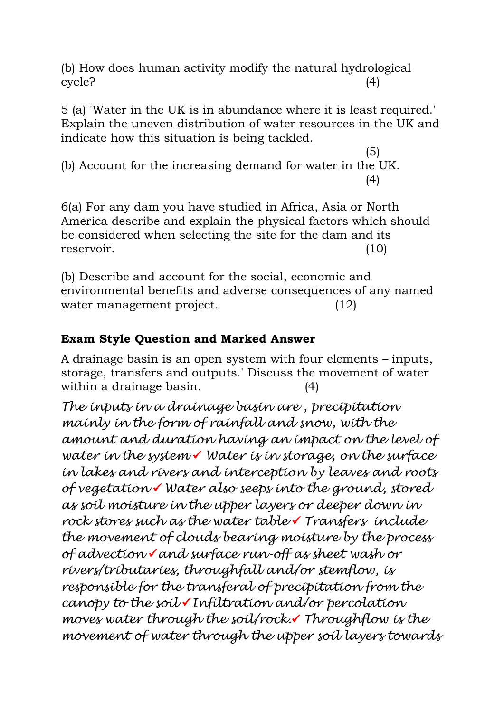(b) How does human activity modify the natural hydrological cycle? (4)

5 (a) 'Water in the UK is in abundance where it is least required.' Explain the uneven distribution of water resources in the UK and indicate how this situation is being tackled.

 $(5)$ (b) Account for the increasing demand for water in the UK. (4)

6(a) For any dam you have studied in Africa, Asia or North America describe and explain the physical factors which should be considered when selecting the site for the dam and its reservoir. (10)

(b) Describe and account for the social, economic and environmental benefits and adverse consequences of any named water management project. (12)

# **Exam Style Question and Marked Answer**

A drainage basin is an open system with four elements – inputs, storage, transfers and outputs.' Discuss the movement of water within a drainage basin. (4)

*The inputs in a drainage basin are , precipitation mainly in the form of rainfall and snow, with the amount and duration having an impact on the level of water in the system Water is in storage, on the surface in lakes and rivers and interception by leaves and roots of vegetation Water also seeps into the ground, stored as soil moisture in the upper layers or deeper down in rock stores such as the water table Transfers include the movement of clouds bearing moisture by the process of advection and surface run-off as sheet wash or rivers/tributaries, throughfall and/or stemflow, is responsible for the transferal of precipitation from the canopy to the soil Infiltration and/or percolation moves water through the soil/rock. Throughflow is the movement of water through the upper soil layers towards*